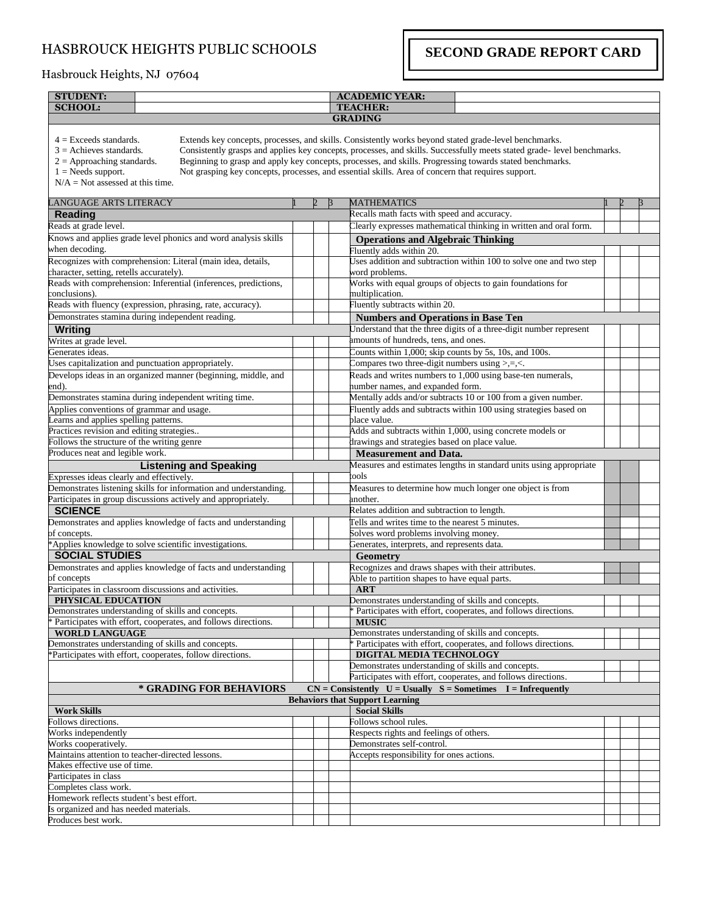## HASBROUCK HEIGHTS PUBLIC SCHOOLS

**SECOND GRADE REPORT CARD**

## Hasbrouck Heights, NJ 07604

| <b>STUDENT:</b>                                                                                                                                     |  |   | <b>ACADEMIC YEAR:</b>                                                                                                                                                                                                                                                                                                                                                                                                                              |  |   |   |
|-----------------------------------------------------------------------------------------------------------------------------------------------------|--|---|----------------------------------------------------------------------------------------------------------------------------------------------------------------------------------------------------------------------------------------------------------------------------------------------------------------------------------------------------------------------------------------------------------------------------------------------------|--|---|---|
| <b>SCHOOL:</b>                                                                                                                                      |  |   | <b>TEACHER:</b>                                                                                                                                                                                                                                                                                                                                                                                                                                    |  |   |   |
|                                                                                                                                                     |  |   | <b>GRADING</b>                                                                                                                                                                                                                                                                                                                                                                                                                                     |  |   |   |
| $4 =$ Exceeds standards.<br>$3$ = Achieves standards.<br>$2 =$ Approaching standards.<br>$1 =$ Needs support.<br>$N/A = Not$ assessed at this time. |  |   | Extends key concepts, processes, and skills. Consistently works beyond stated grade-level benchmarks.<br>Consistently grasps and applies key concepts, processes, and skills. Successfully meets stated grade- level benchmarks.<br>Beginning to grasp and apply key concepts, processes, and skills. Progressing towards stated benchmarks.<br>Not grasping key concepts, processes, and essential skills. Area of concern that requires support. |  |   |   |
| LANGUAGE ARTS LITERACY                                                                                                                              |  | B | <b>MATHEMATICS</b>                                                                                                                                                                                                                                                                                                                                                                                                                                 |  | 2 | R |
| <b>Reading</b>                                                                                                                                      |  |   | Recalls math facts with speed and accuracy.                                                                                                                                                                                                                                                                                                                                                                                                        |  |   |   |
| Reads at grade level.                                                                                                                               |  |   | Clearly expresses mathematical thinking in written and oral form.                                                                                                                                                                                                                                                                                                                                                                                  |  |   |   |
| Knows and applies grade level phonics and word analysis skills                                                                                      |  |   | <b>Operations and Algebraic Thinking</b>                                                                                                                                                                                                                                                                                                                                                                                                           |  |   |   |
| when decoding.                                                                                                                                      |  |   | Fluently adds within 20.                                                                                                                                                                                                                                                                                                                                                                                                                           |  |   |   |
| Recognizes with comprehension: Literal (main idea, details,                                                                                         |  |   | Uses addition and subtraction within 100 to solve one and two step                                                                                                                                                                                                                                                                                                                                                                                 |  |   |   |
| character, setting, retells accurately).                                                                                                            |  |   | word problems.                                                                                                                                                                                                                                                                                                                                                                                                                                     |  |   |   |
| Reads with comprehension: Inferential (inferences, predictions,                                                                                     |  |   | Works with equal groups of objects to gain foundations for                                                                                                                                                                                                                                                                                                                                                                                         |  |   |   |
| conclusions).                                                                                                                                       |  |   | multiplication.                                                                                                                                                                                                                                                                                                                                                                                                                                    |  |   |   |
| Reads with fluency (expression, phrasing, rate, accuracy).                                                                                          |  |   | Fluently subtracts within 20.                                                                                                                                                                                                                                                                                                                                                                                                                      |  |   |   |
| Demonstrates stamina during independent reading.                                                                                                    |  |   | <b>Numbers and Operations in Base Ten</b>                                                                                                                                                                                                                                                                                                                                                                                                          |  |   |   |
| Writing                                                                                                                                             |  |   | Understand that the three digits of a three-digit number represent                                                                                                                                                                                                                                                                                                                                                                                 |  |   |   |
| Writes at grade level.                                                                                                                              |  |   | amounts of hundreds, tens, and ones.                                                                                                                                                                                                                                                                                                                                                                                                               |  |   |   |
| Generates ideas.                                                                                                                                    |  |   | Counts within 1,000; skip counts by 5s, 10s, and 100s.                                                                                                                                                                                                                                                                                                                                                                                             |  |   |   |
| Uses capitalization and punctuation appropriately.                                                                                                  |  |   | Compares two three-digit numbers using >,=,<.                                                                                                                                                                                                                                                                                                                                                                                                      |  |   |   |
| Develops ideas in an organized manner (beginning, middle, and                                                                                       |  |   | Reads and writes numbers to 1,000 using base-ten numerals,                                                                                                                                                                                                                                                                                                                                                                                         |  |   |   |
| end).                                                                                                                                               |  |   | number names, and expanded form.                                                                                                                                                                                                                                                                                                                                                                                                                   |  |   |   |
| Demonstrates stamina during independent writing time.                                                                                               |  |   | Mentally adds and/or subtracts 10 or 100 from a given number.                                                                                                                                                                                                                                                                                                                                                                                      |  |   |   |
| Applies conventions of grammar and usage.                                                                                                           |  |   | Fluently adds and subtracts within 100 using strategies based on                                                                                                                                                                                                                                                                                                                                                                                   |  |   |   |
| Learns and applies spelling patterns.                                                                                                               |  |   | place value.                                                                                                                                                                                                                                                                                                                                                                                                                                       |  |   |   |
| Practices revision and editing strategies                                                                                                           |  |   | Adds and subtracts within 1,000, using concrete models or                                                                                                                                                                                                                                                                                                                                                                                          |  |   |   |
| Follows the structure of the writing genre                                                                                                          |  |   | drawings and strategies based on place value.                                                                                                                                                                                                                                                                                                                                                                                                      |  |   |   |
| Produces neat and legible work.                                                                                                                     |  |   | <b>Measurement and Data.</b>                                                                                                                                                                                                                                                                                                                                                                                                                       |  |   |   |
| <b>Listening and Speaking</b>                                                                                                                       |  |   | Measures and estimates lengths in standard units using appropriate                                                                                                                                                                                                                                                                                                                                                                                 |  |   |   |
| Expresses ideas clearly and effectively.                                                                                                            |  |   | tools                                                                                                                                                                                                                                                                                                                                                                                                                                              |  |   |   |
| Demonstrates listening skills for information and understanding.                                                                                    |  |   | Measures to determine how much longer one object is from                                                                                                                                                                                                                                                                                                                                                                                           |  |   |   |
| Participates in group discussions actively and appropriately.                                                                                       |  |   | another.                                                                                                                                                                                                                                                                                                                                                                                                                                           |  |   |   |
| <b>SCIENCE</b>                                                                                                                                      |  |   | Relates addition and subtraction to length.                                                                                                                                                                                                                                                                                                                                                                                                        |  |   |   |
| Demonstrates and applies knowledge of facts and understanding                                                                                       |  |   | Tells and writes time to the nearest 5 minutes.                                                                                                                                                                                                                                                                                                                                                                                                    |  |   |   |
| of concepts.                                                                                                                                        |  |   | Solves word problems involving money.                                                                                                                                                                                                                                                                                                                                                                                                              |  |   |   |
| *Applies knowledge to solve scientific investigations.                                                                                              |  |   | Generates, interprets, and represents data.                                                                                                                                                                                                                                                                                                                                                                                                        |  |   |   |
| <b>SOCIAL STUDIES</b>                                                                                                                               |  |   | <b>Geometry</b>                                                                                                                                                                                                                                                                                                                                                                                                                                    |  |   |   |
| Demonstrates and applies knowledge of facts and understanding                                                                                       |  |   | Recognizes and draws shapes with their attributes.                                                                                                                                                                                                                                                                                                                                                                                                 |  |   |   |
| of concepts                                                                                                                                         |  |   | Able to partition shapes to have equal parts.                                                                                                                                                                                                                                                                                                                                                                                                      |  |   |   |
| Participates in classroom discussions and activities.                                                                                               |  |   | <b>ART</b>                                                                                                                                                                                                                                                                                                                                                                                                                                         |  |   |   |
| PHYSICAL EDUCATION                                                                                                                                  |  |   | Demonstrates understanding of skills and concepts.                                                                                                                                                                                                                                                                                                                                                                                                 |  |   |   |
| Demonstrates understanding of skills and concepts.                                                                                                  |  |   | * Participates with effort, cooperates, and follows directions                                                                                                                                                                                                                                                                                                                                                                                     |  |   |   |
| * Participates with effort, cooperates, and follows directions.                                                                                     |  |   | <b>MUSIC</b>                                                                                                                                                                                                                                                                                                                                                                                                                                       |  |   |   |
| <b>WORLD LANGUAGE</b>                                                                                                                               |  |   | Demonstrates understanding of skills and concepts.                                                                                                                                                                                                                                                                                                                                                                                                 |  |   |   |
| Demonstrates understanding of skills and concepts.                                                                                                  |  |   | Participates with effort, cooperates, and follows directions.                                                                                                                                                                                                                                                                                                                                                                                      |  |   |   |
| *Participates with effort, cooperates, follow directions.                                                                                           |  |   | DIGITAL MEDIA TECHNOLOGY                                                                                                                                                                                                                                                                                                                                                                                                                           |  |   |   |
|                                                                                                                                                     |  |   | Demonstrates understanding of skills and concepts.                                                                                                                                                                                                                                                                                                                                                                                                 |  |   |   |
|                                                                                                                                                     |  |   | Participates with effort, cooperates, and follows directions.                                                                                                                                                                                                                                                                                                                                                                                      |  |   |   |
| * GRADING FOR BEHAVIORS                                                                                                                             |  |   | $CN = Consistently$ U = Usually S = Sometimes I = Infrequently                                                                                                                                                                                                                                                                                                                                                                                     |  |   |   |
|                                                                                                                                                     |  |   | <b>Behaviors that Support Learning</b>                                                                                                                                                                                                                                                                                                                                                                                                             |  |   |   |
| <b>Work Skills</b>                                                                                                                                  |  |   | <b>Social Skills</b>                                                                                                                                                                                                                                                                                                                                                                                                                               |  |   |   |
| Follows directions.                                                                                                                                 |  |   | Follows school rules.                                                                                                                                                                                                                                                                                                                                                                                                                              |  |   |   |
| Works independently                                                                                                                                 |  |   | Respects rights and feelings of others.                                                                                                                                                                                                                                                                                                                                                                                                            |  |   |   |
| Works cooperatively.                                                                                                                                |  |   | Demonstrates self-control.                                                                                                                                                                                                                                                                                                                                                                                                                         |  |   |   |
| Maintains attention to teacher-directed lessons.                                                                                                    |  |   | Accepts responsibility for ones actions.                                                                                                                                                                                                                                                                                                                                                                                                           |  |   |   |
| Makes effective use of time.                                                                                                                        |  |   |                                                                                                                                                                                                                                                                                                                                                                                                                                                    |  |   |   |
| Participates in class                                                                                                                               |  |   |                                                                                                                                                                                                                                                                                                                                                                                                                                                    |  |   |   |
| Completes class work.                                                                                                                               |  |   |                                                                                                                                                                                                                                                                                                                                                                                                                                                    |  |   |   |
| Homework reflects student's best effort.<br>Is organized and has needed materials.                                                                  |  |   |                                                                                                                                                                                                                                                                                                                                                                                                                                                    |  |   |   |
| Produces best work.                                                                                                                                 |  |   |                                                                                                                                                                                                                                                                                                                                                                                                                                                    |  |   |   |
|                                                                                                                                                     |  |   |                                                                                                                                                                                                                                                                                                                                                                                                                                                    |  |   |   |